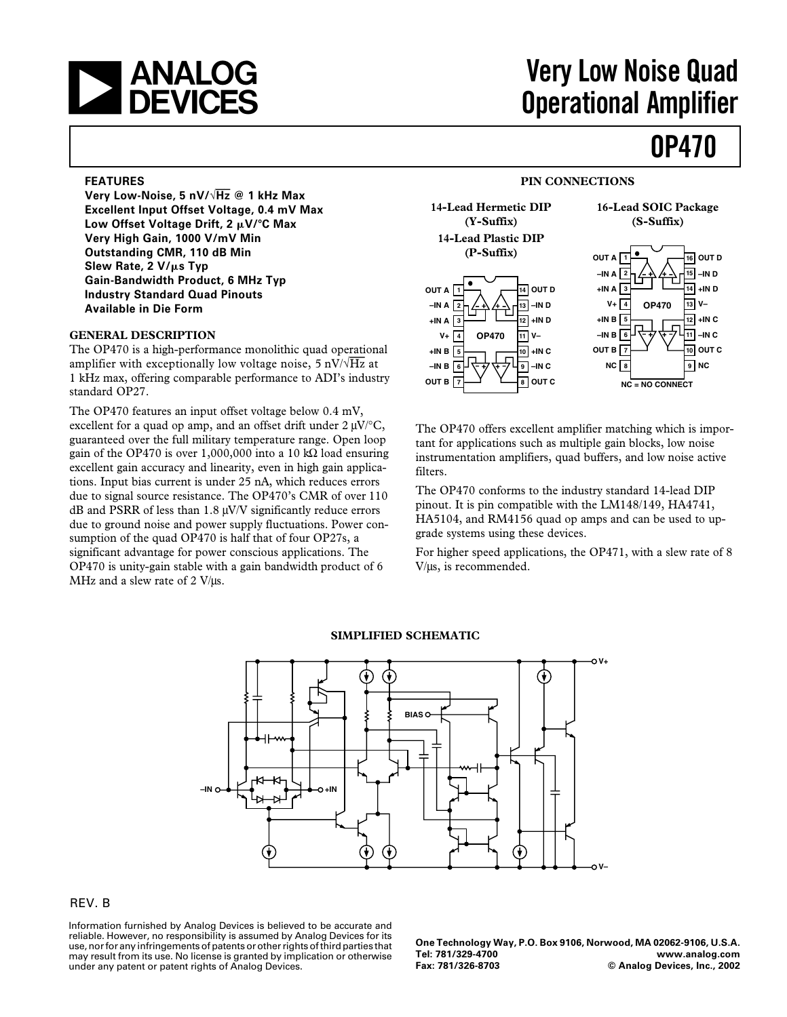

## **Very Low Noise Quad Operational Amplifier**

### **OP470**

#### **FEATURES**

**Very Low-Noise, 5 nV/**√**Hz @ 1 kHz Max Excellent Input Offset Voltage, 0.4 mV Max** Low Offset Voltage Drift, 2 μV/°C Max **Very High Gain, 1000 V/mV Min Outstanding CMR, 110 dB Min** Slew Rate, 2 V/ $\mu$ s Typ **Gain-Bandwidth Product, 6 MHz Typ Industry Standard Quad Pinouts Available in Die Form**

#### **GENERAL DESCRIPTION**

The OP470 is a high-performance monolithic quad operational amplifier with exceptionally low voltage noise, 5 nV/√*Hz* at 1 kHz max, offering comparable performance to ADI's industry standard OP27.

The OP470 features an input offset voltage below 0.4 mV, excellent for a quad op amp, and an offset drift under  $2 \mu V$ <sup>o</sup>C, guaranteed over the full military temperature range. Open loop gain of the OP470 is over 1,000,000 into a 10 kΩ load ensuring excellent gain accuracy and linearity, even in high gain applications. Input bias current is under 25 nA, which reduces errors due to signal source resistance. The OP470's CMR of over 110 dB and PSRR of less than  $1.8 \mu$ V/V significantly reduce errors due to ground noise and power supply fluctuations. Power consumption of the quad OP470 is half that of four OP27s, a significant advantage for power conscious applications. The OP470 is unity-gain stable with a gain bandwidth product of 6 MHz and a slew rate of 2 V/µs.

#### **PIN CONNECTIONS**



The OP470 offers excellent amplifier matching which is important for applications such as multiple gain blocks, low noise instrumentation amplifiers, quad buffers, and low noise active filters.

The OP470 conforms to the industry standard 14-lead DIP pinout. It is pin compatible with the LM148/149, HA4741, HA5104, and RM4156 quad op amps and can be used to upgrade systems using these devices.

For higher speed applications, the OP471, with a slew rate of 8 V/µs, is recommended.



#### **SIMPLIFIED SCHEMATIC**

#### REV. B

Information furnished by Analog Devices is believed to be accurate and reliable. However, no responsibility is assumed by Analog Devices for its use, nor for any infringements of patents or other rights of third parties that may result from its use. No license is granted by implication or otherwise under any patent or patent rights of Analog Devices.

**One Technology Way, P.O. Box 9106, Norwood, MA 02062-9106, U.S.A. Tel: 781/329-4700 [www.analog.com](http://www.analog.com) Fax: 781/326-8703 © Analog Devices, Inc., 2002**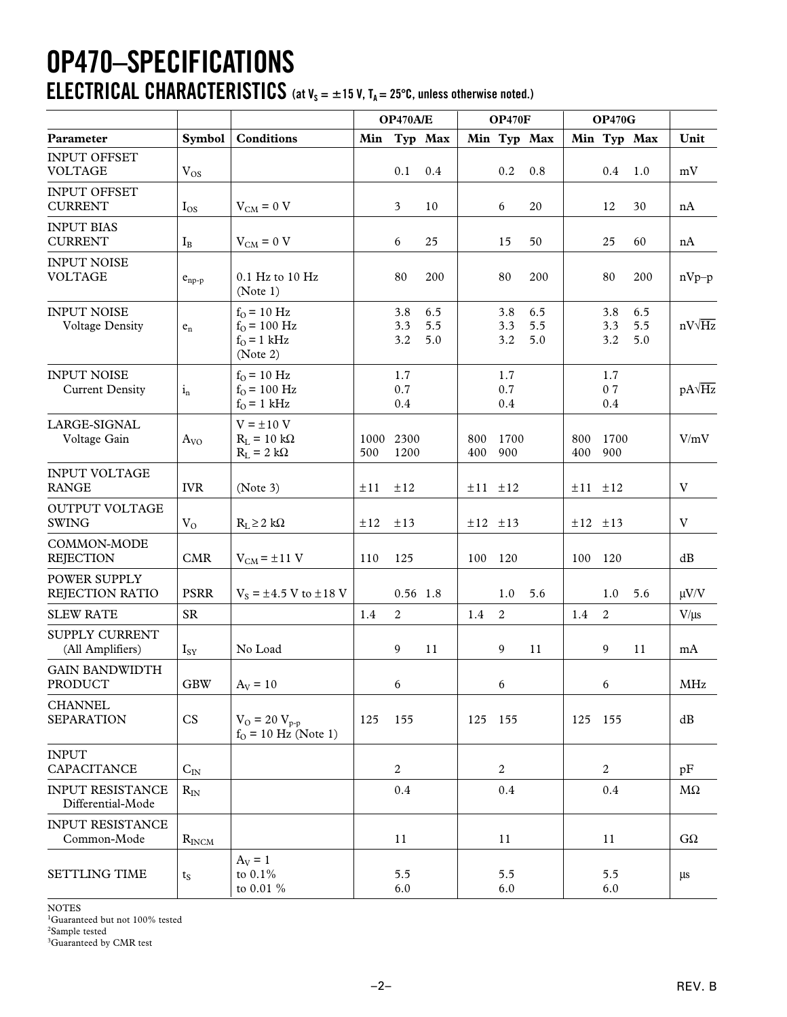### **OP470–SPECIFICATIONS ELECTRICAL CHARACTERISTICS** (at  $V_s = \pm 15$  V,  $T_A = 25^{\circ}$ C, unless otherwise noted.)

|                                              |                         |                                                                    | OP470A/E    |                   | <b>OP470F</b>     |             |                   | <b>OP470G</b>     |             |                      |                   |               |
|----------------------------------------------|-------------------------|--------------------------------------------------------------------|-------------|-------------------|-------------------|-------------|-------------------|-------------------|-------------|----------------------|-------------------|---------------|
| Parameter                                    | Symbol                  | <b>Conditions</b>                                                  |             |                   | Min Typ Max       |             |                   | Min Typ Max       |             |                      | Min Typ Max       | Unit          |
| <b>INPUT OFFSET</b><br><b>VOLTAGE</b>        | $V_{OS}$                |                                                                    |             | 0.1               | 0.4               |             | 0.2               | 0.8               |             | $0.4\,$              | 1.0               | mV            |
| <b>INPUT OFFSET</b><br><b>CURRENT</b>        | $I_{OS}$                | $V_{CM} = 0 V$                                                     |             | 3                 | 10                |             | 6                 | 20                |             | 12                   | 30                | nA            |
| <b>INPUT BIAS</b><br><b>CURRENT</b>          | $I_{B}$                 | $V_{CM} = 0 V$                                                     |             | 6                 | 25                |             | 15                | 50                |             | 25                   | 60                | nA            |
| <b>INPUT NOISE</b><br><b>VOLTAGE</b>         | $e_{np-p}$              | 0.1 Hz to 10 Hz<br>(Note 1)                                        |             | 80                | 200               |             | 80                | 200               |             | 80                   | 200               | $nVp-p$       |
| <b>INPUT NOISE</b><br><b>Voltage Density</b> | $\mathbf{e}_\mathrm{n}$ | $f_{O} = 10$ Hz<br>$f_{O} = 100$ Hz<br>$f_{O} = 1$ kHz<br>(Note 2) |             | 3.8<br>3.3<br>3.2 | 6.5<br>5.5<br>5.0 |             | 3.8<br>3.3<br>3.2 | 6.5<br>5.5<br>5.0 |             | 3.8<br>3.3<br>3.2    | 6.5<br>5.5<br>5.0 | $nV\sqrt{Hz}$ |
| <b>INPUT NOISE</b><br><b>Current Density</b> | $i_{n}$                 | $f_{O}$ = 10 Hz<br>$f_{O} = 100$ Hz<br>$f_{O} = 1$ kHz             |             | 1.7<br>0.7<br>0.4 |                   |             | 1.7<br>0.7<br>0.4 |                   |             | 1.7<br>07<br>$0.4\,$ |                   | $pA\sqrt{Hz}$ |
| LARGE-SIGNAL<br>Voltage Gain                 | $A_{VO}$                | $V = \pm 10 V$<br>$R_L = 10 k\Omega$<br>$R_L = 2 k\Omega$          | 1000<br>500 | 2300<br>1200      |                   | 800<br>400  | 1700<br>900       |                   | 800<br>400  | 1700<br>900          |                   | V/mV          |
| <b>INPUT VOLTAGE</b><br><b>RANGE</b>         | <b>IVR</b>              | (Note 3)                                                           | ±11         | ±12               |                   | $±11$ $±12$ |                   |                   | $±11$ $±12$ |                      |                   | V             |
| <b>OUTPUT VOLTAGE</b><br><b>SWING</b>        | $V_{O}$                 | $R_L \geq 2 k\Omega$                                               | ±12         | ±13               |                   | $±12$ $±13$ |                   |                   |             | $±12$ $±13$          |                   | V             |
| COMMON-MODE<br><b>REJECTION</b>              | CMR                     | $V_{CM} = \pm 11$ V                                                | 110         | 125               |                   | 100         | 120               |                   | 100         | 120                  |                   | dB            |
| POWER SUPPLY<br>REJECTION RATIO              | <b>PSRR</b>             | $V_s = \pm 4.5$ V to $\pm 18$ V                                    |             | 0.56 1.8          |                   |             | 1.0               | 5.6               |             | 1.0                  | 5.6               | $\mu V/V$     |
| <b>SLEW RATE</b>                             | <b>SR</b>               |                                                                    | 1.4         | 2                 |                   | 1.4         | 2                 |                   | 1.4         | 2                    |                   | $V/\mu s$     |
| SUPPLY CURRENT<br>(All Amplifiers)           | $I_{SY}$                | No Load                                                            |             | 9                 | 11                |             | 9                 | 11                |             | 9                    | 11                | mA            |
| <b>GAIN BANDWIDTH</b><br>PRODUCT             | $\mbox{GBW}$            | $A_V = 10$                                                         |             | 6                 |                   |             | 6                 |                   |             | 6                    |                   | MHz           |
| <b>CHANNEL</b><br><b>SEPARATION</b>          | CS                      | $V_O = 20 V_{p-p}$<br>$f_0 = 10$ Hz (Note 1)                       | 125         | 155               |                   | 125 155     |                   |                   | 125 155     |                      |                   | dB            |
| <b>INPUT</b><br>CAPACITANCE                  | $C_{IN}$                |                                                                    |             | 2                 |                   |             | 2                 |                   |             | 2                    |                   | pF            |
| <b>INPUT RESISTANCE</b><br>Differential-Mode | $R_{IN}$                |                                                                    |             | 0.4               |                   |             | $0.4\,$           |                   |             | 0.4                  |                   | $M\Omega$     |
| <b>INPUT RESISTANCE</b><br>Common-Mode       | $R_{INCM}$              |                                                                    |             | 11                |                   |             | 11                |                   |             | 11                   |                   | $G\Omega$     |
| <b>SETTLING TIME</b>                         | $t_{S}$                 | $A_V = 1$<br>to $0.1%$<br>to 0.01 %                                |             | 5.5<br>6.0        |                   |             | 5.5<br>6.0        |                   |             | 5.5<br>6.0           |                   | $\mu s$       |

NOTES

<sup>1</sup>Guaranteed but not 100% tested

2 Sample tested

<sup>3</sup>Guaranteed by CMR test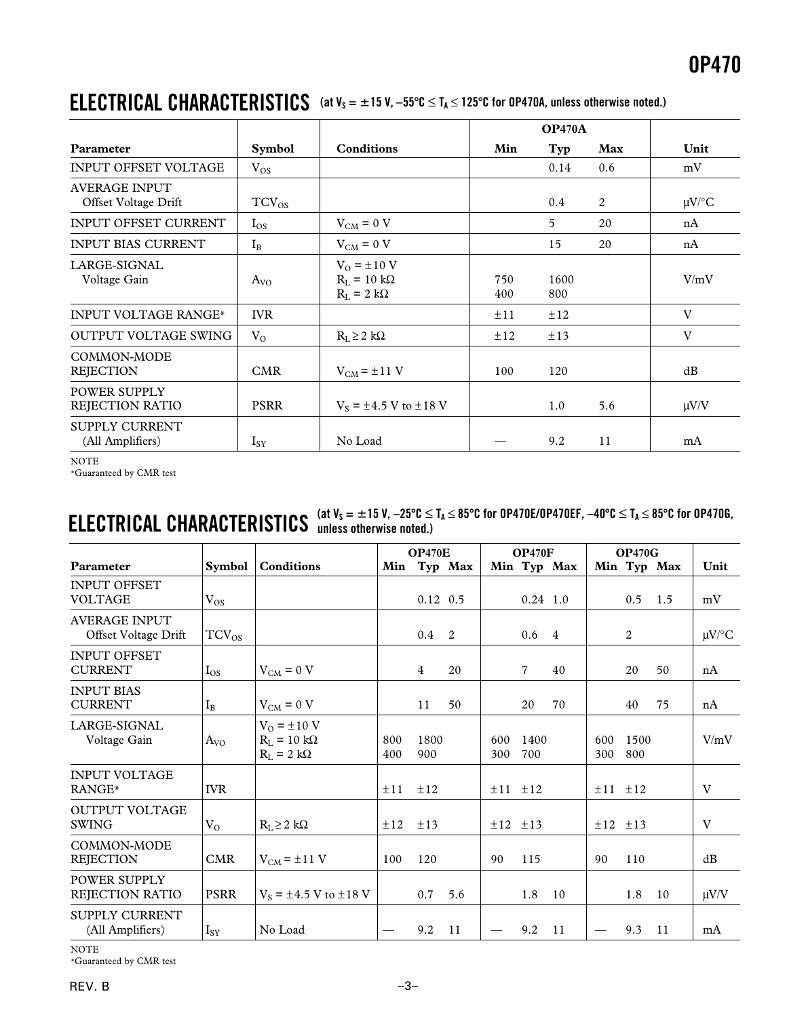### **ELECTRICAL CHARACTERISTICS** (at  $V_s = ±15$  V,  $-55^{\circ}C ≤ T_A ≤ 125^{\circ}C$  for 0P470A, unless otherwise noted.)

|                                              |               |                                                             | <b>OP470A</b> |             |     |            |
|----------------------------------------------|---------------|-------------------------------------------------------------|---------------|-------------|-----|------------|
| Parameter                                    | <b>Symbol</b> | <b>Conditions</b>                                           | Min           | Typ         | Max | Unit       |
| <b>INPUT OFFSET VOLTAGE</b>                  | $V_{OS}$      |                                                             |               | 0.14        | 0.6 | mV         |
| <b>AVERAGE INPUT</b><br>Offset Voltage Drift | $TCV_{OS}$    |                                                             |               | 0.4         | 2   | $\mu$ V/°C |
| <b>INPUT OFFSET CURRENT</b>                  | $I_{OS}$      | $V_{CM} = 0 V$                                              |               | 5           | 20  | nA         |
| <b>INPUT BIAS CURRENT</b>                    | $I_{\rm B}$   | $V_{CM} = 0 V$                                              |               | 15          | 20  | nA         |
| LARGE-SIGNAL<br>Voltage Gain                 | $A_{VO}$      | $V_O = \pm 10$ V<br>$R_I = 10 k\Omega$<br>$R_I = 2 k\Omega$ | 750<br>400    | 1600<br>800 |     | V/mV       |
| <b>INPUT VOLTAGE RANGE*</b>                  | <b>IVR</b>    |                                                             | ±11           | ±12         |     | V          |
| <b>OUTPUT VOLTAGE SWING</b>                  | $V_{O}$       | $R_L \geq 2 k\Omega$                                        | ±12           | $\pm 13$    |     | V          |
| COMMON-MODE<br><b>REJECTION</b>              | <b>CMR</b>    | $V_{CM}$ = $\pm$ 11 V                                       | 100           | 120         |     | dB         |
| POWER SUPPLY<br>REJECTION RATIO              | <b>PSRR</b>   | $V_s = \pm 4.5$ V to $\pm 18$ V                             |               | 1.0         | 5.6 | $\mu$ V/V  |
| <b>SUPPLY CURRENT</b><br>(All Amplifiers)    | $I_{SY}$      | No Load                                                     |               | 9.2         | 11  | mA         |

NOTE

\*Guaranteed by CMR test

## $\mathbf{ELECTRICAL}$   $\mathbf{CHARACTERISTICS}$  (at  $V_S = ±15$  V,  $-25^{\circ}\text{C} ≤ T_A ≤ 85^{\circ}\text{C}$  for 0P470EF,  $-40^{\circ}\text{C} ≤ T_A ≤ 85^{\circ}\text{C}$  for 0P470G,

|                                              |               |                                                             | <b>OP470E</b> |                  | <b>OP470F</b> |             |                | OP470G      |                   |             |             |            |
|----------------------------------------------|---------------|-------------------------------------------------------------|---------------|------------------|---------------|-------------|----------------|-------------|-------------------|-------------|-------------|------------|
| Parameter                                    | <b>Symbol</b> | <b>Conditions</b>                                           | Min           |                  | Typ Max       |             |                | Min Typ Max |                   |             | Min Typ Max | Unit       |
| <b>INPUT OFFSET</b><br><b>VOLTAGE</b>        | $V_{OS}$      |                                                             |               | $0.12 \quad 0.5$ |               |             | $0.24$ 1.0     |             |                   | 0.5         | 1.5         | mV         |
| <b>AVERAGE INPUT</b><br>Offset Voltage Drift | $TCV_{OS}$    |                                                             |               | $0.4 \quad 2$    |               |             | $0.6 \quad 4$  |             |                   | 2           |             | $\mu$ V/°C |
| <b>INPUT OFFSET</b><br><b>CURRENT</b>        | $I_{OS}$      | $V_{CM} = 0 V$                                              |               | $\overline{4}$   | 20            |             | $\overline{7}$ | 40          |                   | 20          | 50          | nA         |
| <b>INPUT BIAS</b><br><b>CURRENT</b>          | $I_{B}$       | $V_{CM} = 0 V$                                              |               | 11               | 50            |             | 20             | 70          |                   | 40          | 75          | nA         |
| LARGE-SIGNAL<br>Voltage Gain                 | $A_{VO}$      | $V_O = \pm 10$ V<br>$R_L = 10 k\Omega$<br>$R_L = 2 k\Omega$ | 800<br>400    | 1800<br>900      |               | 600<br>300  | 1400<br>700    |             | 600<br>300        | 1500<br>800 |             | V/mV       |
| <b>INPUT VOLTAGE</b><br>RANGE*               | <b>IVR</b>    |                                                             | ±11           | ±12              |               | $±11$ $±12$ |                |             | $\pm 11$ $\pm 12$ |             |             | V          |
| <b>OUTPUT VOLTAGE</b><br><b>SWING</b>        | $V_{O}$       | $R_L \geq 2 k\Omega$                                        | ±12           | ±13              |               | $±12$ $±13$ |                |             | $±12$ $±13$       |             |             | V          |
| COMMON-MODE<br><b>REJECTION</b>              | <b>CMR</b>    | $V_{CM} = \pm 11$ V                                         | 100           | 120              |               | 90          | 115            |             | 90                | 110         |             | dB         |
| POWER SUPPLY<br><b>REJECTION RATIO</b>       | <b>PSRR</b>   | $V_S = \pm 4.5$ V to $\pm 18$ V                             |               | 0.7              | 5.6           |             | 1.8            | 10          |                   | 1.8         | 10          | $\mu V/V$  |
| <b>SUPPLY CURRENT</b><br>(All Amplifiers)    | $I_{SY}$      | No Load                                                     |               | 9.2              | 11            |             | 9.2            | -11         |                   | 9.3         | -11         | mA         |

NOTE

\*Guaranteed by CMR test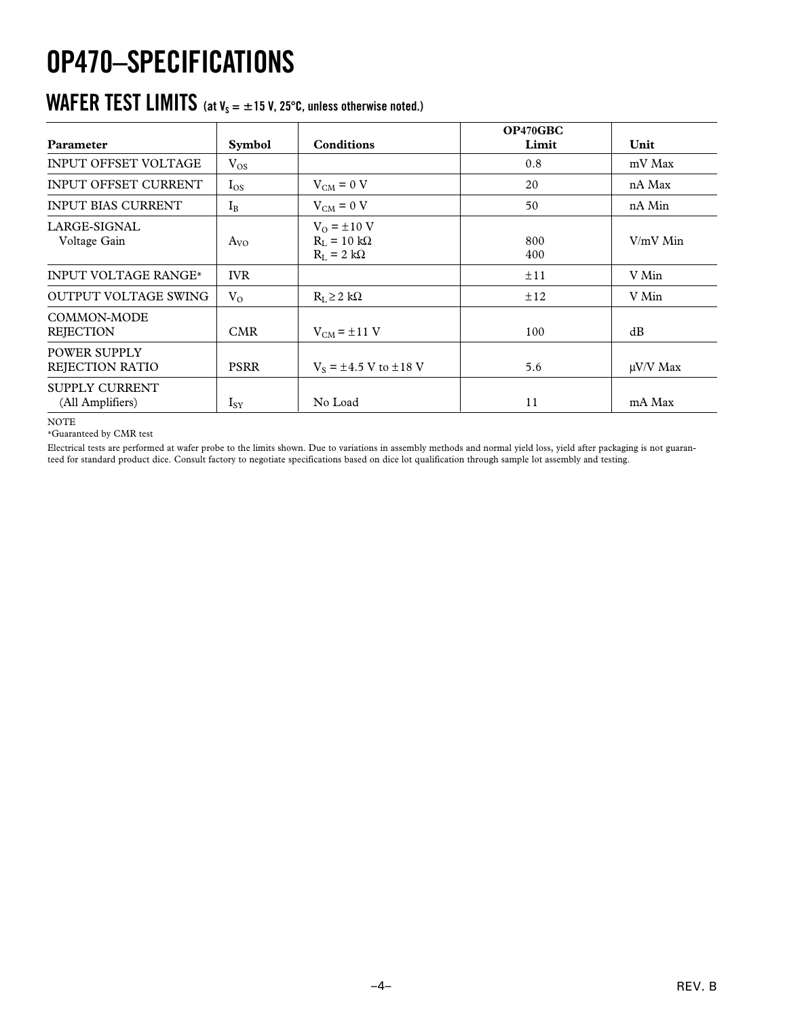# **OP470–SPECIFICATIONS**

#### $\text{WAFER TEST LIMITS}$  (at V<sub>s</sub>  $=$   $\pm$  15 V, 25°C, unless otherwise noted.)

| Parameter                                 | <b>Symbol</b> | <b>Conditions</b>                                           | OP470GBC<br>Limit | Unit          |
|-------------------------------------------|---------------|-------------------------------------------------------------|-------------------|---------------|
| <b>INPUT OFFSET VOLTAGE</b>               | $V_{OS}$      |                                                             | 0.8               | mV Max        |
| <b>INPUT OFFSET CURRENT</b>               | $I_{OS}$      | $V_{CM} = 0 V$                                              | 20                | nA Max        |
| <b>INPUT BIAS CURRENT</b>                 | $I_{B}$       | $V_{CM} = 0 V$                                              | 50                | nA Min        |
| LARGE-SIGNAL<br>Voltage Gain              | $A_{VO}$      | $V_0 = \pm 10$ V<br>$R_L = 10 k\Omega$<br>$R_L = 2 k\Omega$ | 800<br>400        | V/mV Min      |
| <b>INPUT VOLTAGE RANGE*</b>               | <b>IVR</b>    |                                                             | ±11               | V Min         |
| <b>OUTPUT VOLTAGE SWING</b>               | $V_{O}$       | $R_{I} \geq 2 k\Omega$                                      | ±12               | V Min         |
| COMMON-MODE<br><b>REJECTION</b>           | <b>CMR</b>    | $V_{CM}$ = $\pm$ 11 V                                       | 100               | dB            |
| POWER SUPPLY<br>REJECTION RATIO           | <b>PSRR</b>   | $V_s = \pm 4.5$ V to $\pm 18$ V                             | 5.6               | $\mu$ V/V Max |
| <b>SUPPLY CURRENT</b><br>(All Amplifiers) | $I_{SY}$      | No Load                                                     | 11                | mA Max        |

NOTE

\*Guaranteed by CMR test

Electrical tests are performed at wafer probe to the limits shown. Due to variations in assembly methods and normal yield loss, yield after packaging is not guaranteed for standard product dice. Consult factory to negotiate specifications based on dice lot qualification through sample lot assembly and testing.